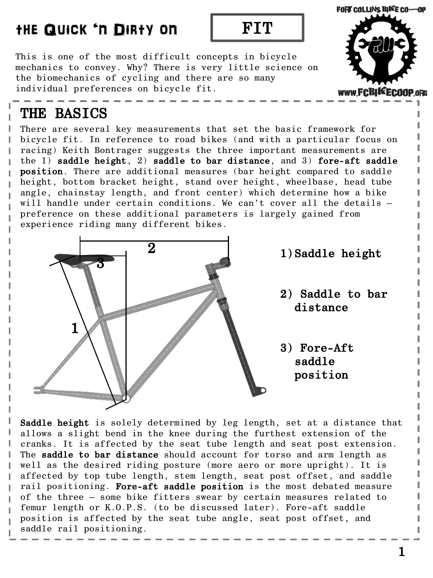**FORT COLLINS BIKE CO-OP** 

www.FCBIKECO

This is one of the most difficult concepts in bicycle mechanics to convey. Why? There is very little science on the biomechanics of cycling and there are so many individual preferences on bicycle fit.

### THE BASICS

ı

Ī

ı I There are several key measurements that set the basic framework for bicycle fit. In reference to road bikes (and with a particular focus on racing) Keith Bontrager suggests the three important measurements are the 1) saddle height, 2) saddle to bar distance, and 3) fore-aft saddle position. There are additional measures (bar height compared to saddle height, bottom bracket height, stand over height, wheelbase, head tube angle, chainstay length, and front center) which determine how a bike will handle under certain conditions. We can't cover all the details – preference on these additional parameters is largely gained from experience riding many different bikes.



Saddle height is solely determined by leg length, set at a distance that allows a slight bend in the knee during the furthest extension of the cranks. It is affected by the seat tube length and seat post extension. The saddle to bar distance should account for torso and arm length as well as the desired riding posture (more aero or more upright). It is affected by top tube length, stem length, seat post offset, and saddle rail positioning. Fore-aft saddle position is the most debated measure of the three – some bike fitters swear by certain measures related to femur length or K.O.P.S. (to be discussed later). Fore-aft saddle position is affected by the seat tube angle, seat post offset, and saddle rail positioning.

1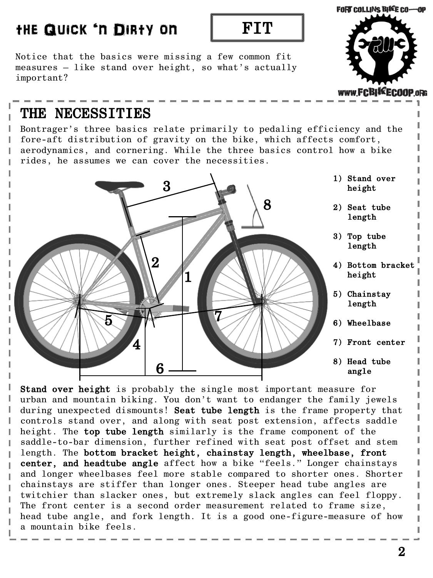Notice that the basics were missing a few common fit measures – like stand over height, so what's actually important?



### THE NECESSITIES

Т ı I

I ı ı Ī

ľ Ī I

Bontrager's three basics relate primarily to pedaling efficiency and the fore-aft distribution of gravity on the bike, which affects comfort, aerodynamics, and cornering. While the three basics control how a bike rides, he assumes we can cover the necessities.



Stand over height is probably the single most important measure for urban and mountain biking. You don't want to endanger the family jewels during unexpected dismounts! Seat tube length is the frame property that controls stand over, and along with seat post extension, affects saddle height. The top tube length similarly is the frame component of the saddle-to-bar dimension, further refined with seat post offset and stem length. The bottom bracket height, chainstay length, wheelbase, front center, and headtube angle affect how a bike "feels." Longer chainstays and longer wheelbases feel more stable compared to shorter ones. Shorter chainstays are stiffer than longer ones. Steeper head tube angles are twitchier than slacker ones, but extremely slack angles can feel floppy. The front center is a second order measurement related to frame size, head tube angle, and fork length. It is a good one-figure-measure of how a mountain bike feels.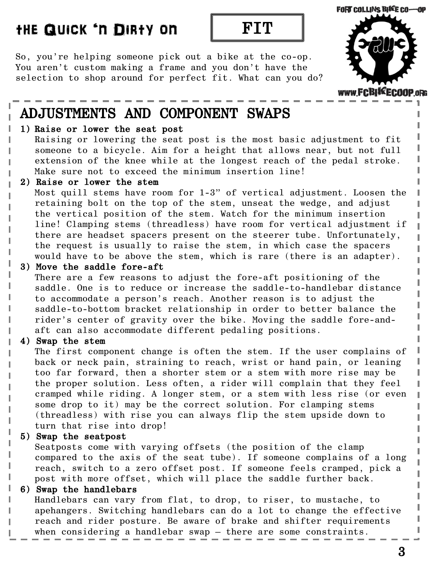#### FORT COLLINS BIKE CO-OP

### the Quick 'n Dirty on FIT

So, you're helping someone pick out a bike at the co-op. You aren't custom making a frame and you don't have the selection to shop around for perfect fit. What can you do?



### ADJUSTMENTS AND COMPONENT SWAPS

#### 1) Raise or lower the seat post

Raising or lowering the seat post is the most basic adjustment to fit someone to a bicycle. Aim for a height that allows near, but not full extension of the knee while at the longest reach of the pedal stroke. Make sure not to exceed the minimum insertion line!

#### 2) Raise or lower the stem

Most quill stems have room for 1-3" of vertical adjustment. Loosen the retaining bolt on the top of the stem, unseat the wedge, and adjust the vertical position of the stem. Watch for the minimum insertion line! Clamping stems (threadless) have room for vertical adjustment if there are headset spacers present on the steerer tube. Unfortunately, the request is usually to raise the stem, in which case the spacers would have to be above the stem, which is rare (there is an adapter).

#### 3) Move the saddle fore-aft

There are a few reasons to adjust the fore-aft positioning of the saddle. One is to reduce or increase the saddle-to-handlebar distance to accommodate a person's reach. Another reason is to adjust the saddle-to-bottom bracket relationship in order to better balance the rider's center of gravity over the bike. Moving the saddle fore-andaft can also accommodate different pedaling positions.

### 4) Swap the stem

The first component change is often the stem. If the user complains of back or neck pain, straining to reach, wrist or hand pain, or leaning too far forward, then a shorter stem or a stem with more rise may be the proper solution. Less often, a rider will complain that they feel cramped while riding. A longer stem, or a stem with less rise (or even some drop to it) may be the correct solution. For clamping stems (threadless) with rise you can always flip the stem upside down to turn that rise into drop!

### 5) Swap the seatpost

Seatposts come with varying offsets (the position of the clamp compared to the axis of the seat tube). If someone complains of a long reach, switch to a zero offset post. If someone feels cramped, pick a post with more offset, which will place the saddle further back.

### 6) Swap the handlebars

Handlebars can vary from flat, to drop, to riser, to mustache, to apehangers. Switching handlebars can do a lot to change the effective reach and rider posture. Be aware of brake and shifter requirements when considering a handlebar swap – there are some constraints.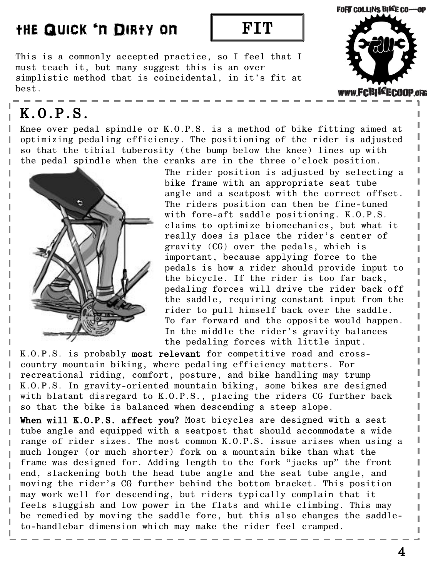**FORT COLLINS BIKE CO-OP** 

www.FCBI\*EC00

This is a commonly accepted practice, so I feel that I must teach it, but many suggest this is an over simplistic method that is coincidental, in it's fit at best.

### K.O.P.S.

п ı ı Ī

I Ī

I ı

Ī

I

Knee over pedal spindle or K.O.P.S. is a method of bike fitting aimed at optimizing pedaling efficiency. The positioning of the rider is adjusted so that the tibial tuberosity (the bump below the knee) lines up with the pedal spindle when the cranks are in the three o'clock position.



The rider position is adjusted by selecting a bike frame with an appropriate seat tube angle and a seatpost with the correct offset. The riders position can then be fine-tuned with fore-aft saddle positioning. K.O.P.S. claims to optimize biomechanics, but what it really does is place the rider's center of gravity (CG) over the pedals, which is important, because applying force to the pedals is how a rider should provide input to the bicycle. If the rider is too far back, pedaling forces will drive the rider back off the saddle, requiring constant input from the rider to pull himself back over the saddle. To far forward and the opposite would happen. In the middle the rider's gravity balances the pedaling forces with little input.

K.O.P.S. is probably most relevant for competitive road and crosscountry mountain biking, where pedaling efficiency matters. For recreational riding, comfort, posture, and bike handling may trump K.O.P.S. In gravity-oriented mountain biking, some bikes are designed with blatant disregard to K.O.P.S., placing the riders CG further back so that the bike is balanced when descending a steep slope.

When will K.O.P.S. affect you? Most bicycles are designed with a seat tube angle and equipped with a seatpost that should accommodate a wide range of rider sizes. The most common K.O.P.S. issue arises when using a much longer (or much shorter) fork on a mountain bike than what the frame was designed for. Adding length to the fork "jacks up" the front end, slackening both the head tube angle and the seat tube angle, and moving the rider's CG further behind the bottom bracket. This position may work well for descending, but riders typically complain that it feels sluggish and low power in the flats and while climbing. This may be remedied by moving the saddle fore, but this also changes the saddleto-handlebar dimension which may make the rider feel cramped.

4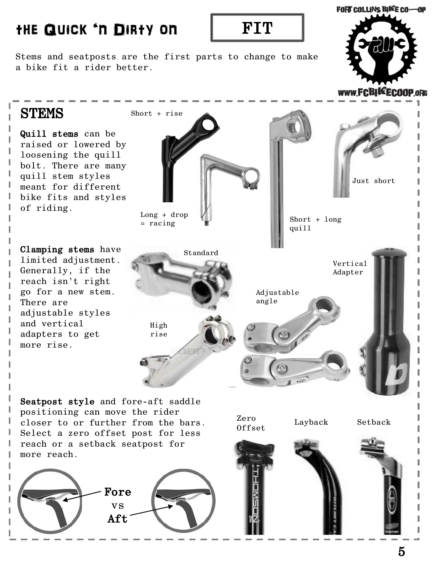Stems and seatposts are the first parts to change to make a bike fit a rider better.



www.FCBIKECOOP.oRG